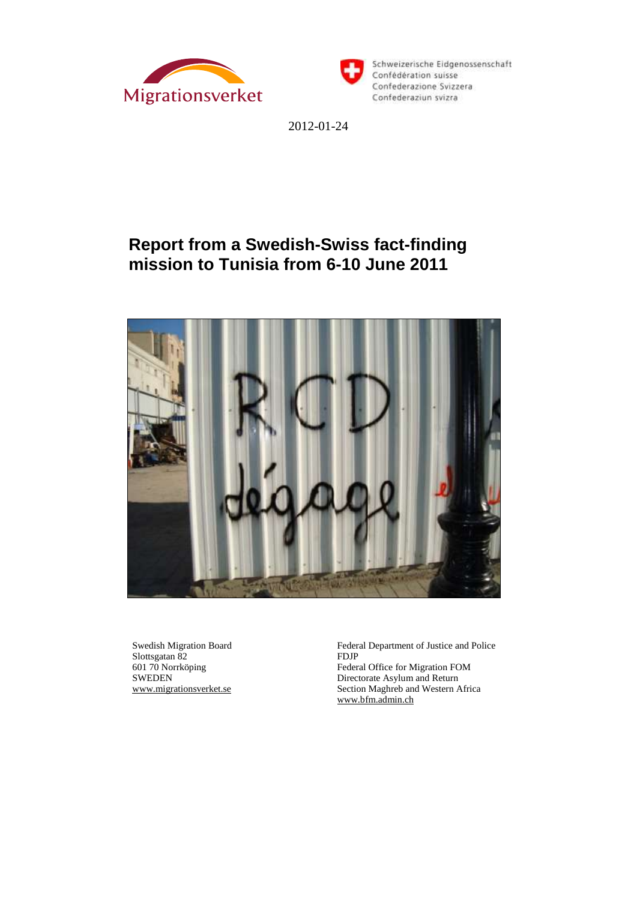



2012-01-24

# **Report from a Swedish-Swiss fact-finding mission to Tunisia from 6-10 June 2011**



Swedish Migration Board Slottsgatan 82 601 70 Norrköping SWEDEN [www.migrationsverket.se](http://www.migrationsverket.se/) Federal Department of Justice and Police FDJP

Federal Office for Migration FOM Directorate Asylum and Return Section Maghreb and Western Africa [www.bfm.admin.ch](http://www.bfm.admin.ch/)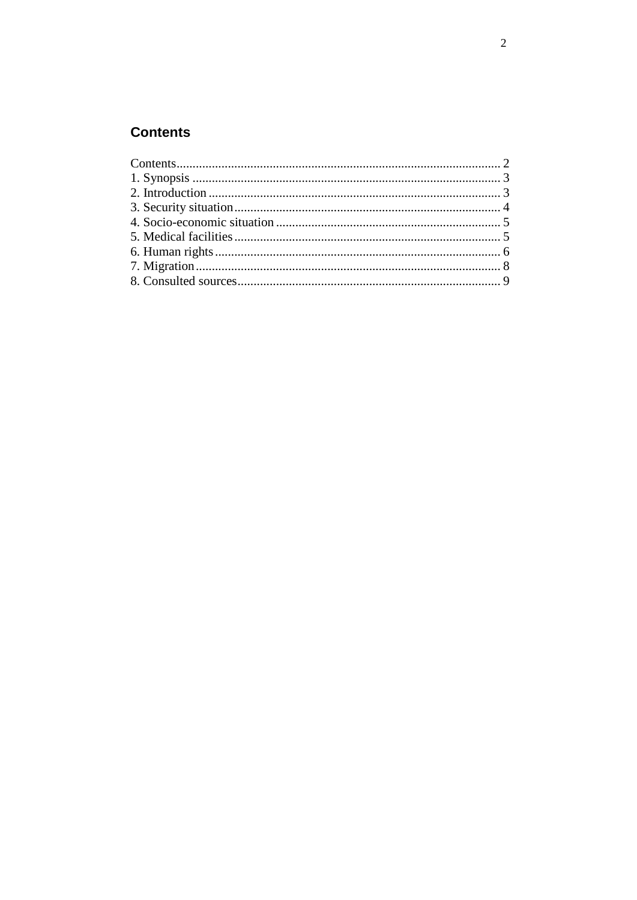# <span id="page-1-0"></span>**Contents**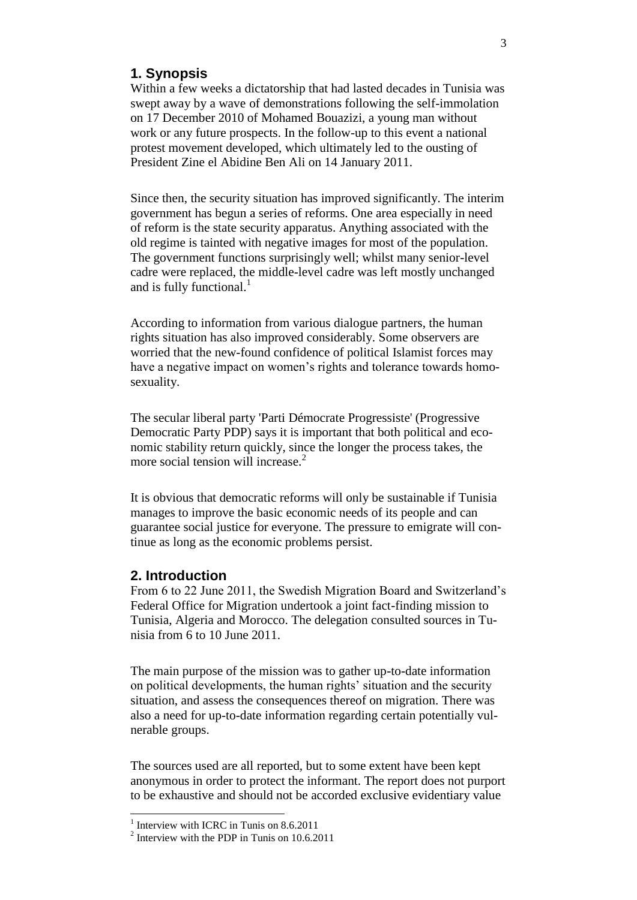## <span id="page-2-0"></span>**1. Synopsis**

Within a few weeks a dictatorship that had lasted decades in Tunisia was swept away by a wave of demonstrations following the self-immolation on 17 December 2010 of Mohamed Bouazizi, a young man without work or any future prospects. In the follow-up to this event a national protest movement developed, which ultimately led to the ousting of President Zine el Abidine Ben Ali on 14 January 2011.

Since then, the security situation has improved significantly. The interim government has begun a series of reforms. One area especially in need of reform is the state security apparatus. Anything associated with the old regime is tainted with negative images for most of the population. The government functions surprisingly well; whilst many senior-level cadre were replaced, the middle-level cadre was left mostly unchanged and is fully functional.<sup>1</sup>

According to information from various dialogue partners, the human rights situation has also improved considerably. Some observers are worried that the new-found confidence of political Islamist forces may have a negative impact on women's rights and tolerance towards homosexuality.

The secular liberal party 'Parti Démocrate Progressiste' (Progressive Democratic Party PDP) says it is important that both political and economic stability return quickly, since the longer the process takes, the more social tension will increase.<sup>2</sup>

It is obvious that democratic reforms will only be sustainable if Tunisia manages to improve the basic economic needs of its people and can guarantee social justice for everyone. The pressure to emigrate will continue as long as the economic problems persist.

#### <span id="page-2-1"></span>**2. Introduction**

From 6 to 22 June 2011, the Swedish Migration Board and Switzerland's Federal Office for Migration undertook a joint fact-finding mission to Tunisia, Algeria and Morocco. The delegation consulted sources in Tunisia from 6 to 10 June 2011.

The main purpose of the mission was to gather up-to-date information on political developments, the human rights' situation and the security situation, and assess the consequences thereof on migration. There was also a need for up-to-date information regarding certain potentially vulnerable groups.

The sources used are all reported, but to some extent have been kept anonymous in order to protect the informant. The report does not purport to be exhaustive and should not be accorded exclusive evidentiary value

 1 Interview with ICRC in Tunis on 8.6.2011

<sup>&</sup>lt;sup>2</sup> Interview with the PDP in Tunis on 10.6.2011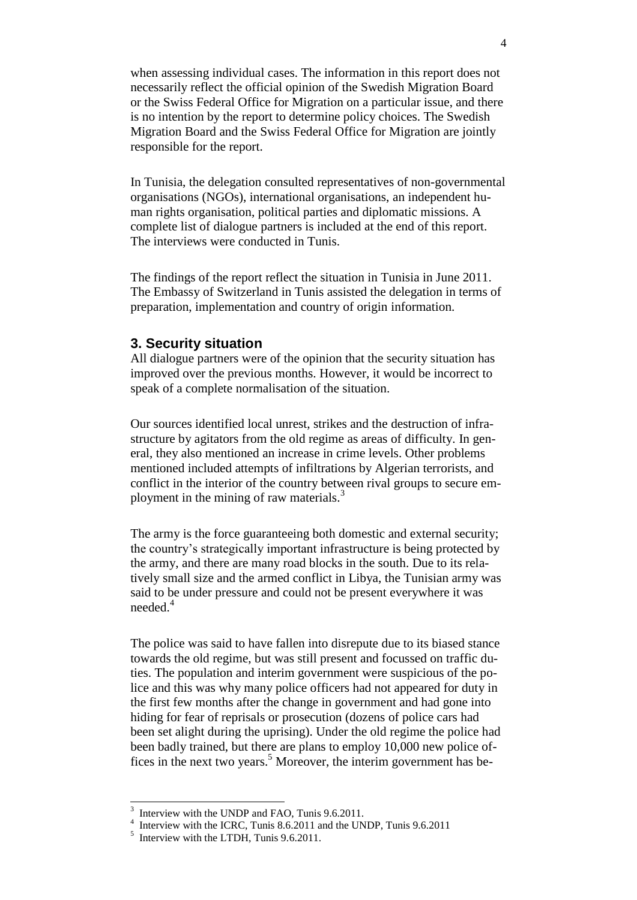when assessing individual cases. The information in this report does not necessarily reflect the official opinion of the Swedish Migration Board or the Swiss Federal Office for Migration on a particular issue, and there is no intention by the report to determine policy choices. The Swedish Migration Board and the Swiss Federal Office for Migration are jointly responsible for the report.

In Tunisia, the delegation consulted representatives of non-governmental organisations (NGOs), international organisations, an independent human rights organisation, political parties and diplomatic missions. A complete list of dialogue partners is included at the end of this report. The interviews were conducted in Tunis.

The findings of the report reflect the situation in Tunisia in June 2011. The Embassy of Switzerland in Tunis assisted the delegation in terms of preparation, implementation and country of origin information.

#### <span id="page-3-0"></span>**3. Security situation**

All dialogue partners were of the opinion that the security situation has improved over the previous months. However, it would be incorrect to speak of a complete normalisation of the situation.

Our sources identified local unrest, strikes and the destruction of infrastructure by agitators from the old regime as areas of difficulty. In general, they also mentioned an increase in crime levels. Other problems mentioned included attempts of infiltrations by Algerian terrorists, and conflict in the interior of the country between rival groups to secure employment in the mining of raw materials.<sup>3</sup>

The army is the force guaranteeing both domestic and external security; the country's strategically important infrastructure is being protected by the army, and there are many road blocks in the south. Due to its relatively small size and the armed conflict in Libya, the Tunisian army was said to be under pressure and could not be present everywhere it was needed $4$ 

The police was said to have fallen into disrepute due to its biased stance towards the old regime, but was still present and focussed on traffic duties. The population and interim government were suspicious of the police and this was why many police officers had not appeared for duty in the first few months after the change in government and had gone into hiding for fear of reprisals or prosecution (dozens of police cars had been set alight during the uprising). Under the old regime the police had been badly trained, but there are plans to employ 10,000 new police offices in the next two years. <sup>5</sup> Moreover, the interim government has be-

-

<sup>3</sup> Interview with the UNDP and FAO, Tunis 9.6.2011.

<sup>&</sup>lt;sup>4</sup> Interview with the ICRC, Tunis 8.6.2011 and the UNDP, Tunis 9.6.2011

<sup>&</sup>lt;sup>5</sup> Interview with the LTDH, Tunis 9.6.2011.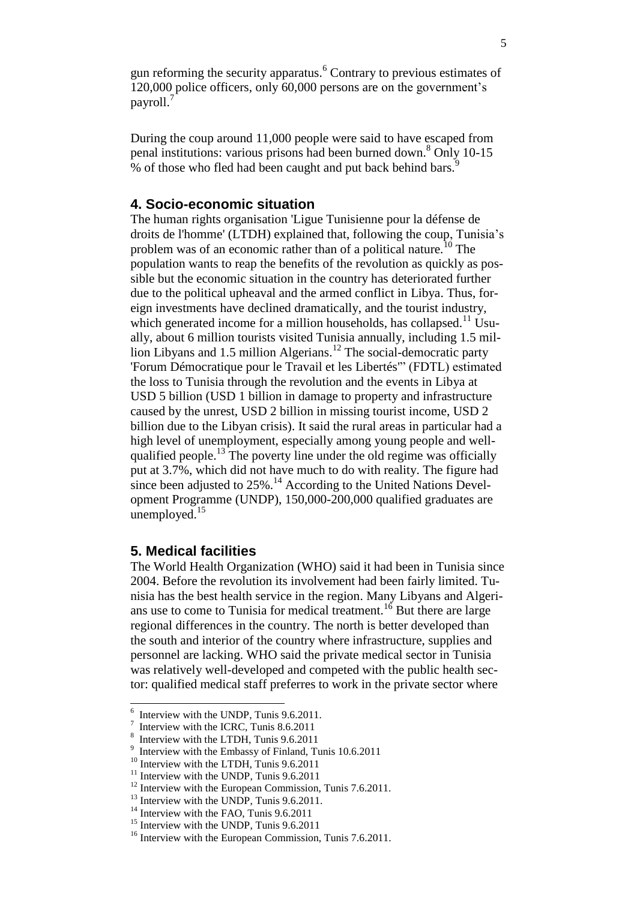gun reforming the security apparatus.<sup>6</sup> Contrary to previous estimates of 120,000 police officers, only 60,000 persons are on the government's payroll.<sup>7</sup>

During the coup around 11,000 people were said to have escaped from penal institutions: various prisons had been burned down.<sup>8</sup> Only 10-15 % of those who fled had been caught and put back behind bars.<sup>9</sup>

#### <span id="page-4-0"></span>**4. Socio-economic situation**

The human rights organisation 'Ligue Tunisienne pour la défense de droits de l'homme' (LTDH) explained that, following the coup, Tunisia's problem was of an economic rather than of a political nature.<sup>10</sup> The population wants to reap the benefits of the revolution as quickly as possible but the economic situation in the country has deteriorated further due to the political upheaval and the armed conflict in Libya. Thus, foreign investments have declined dramatically, and the tourist industry, which generated income for a million households, has collapsed.<sup>11</sup> Usually, about 6 million tourists visited Tunisia annually, including 1.5 million Libyans and 1.5 million Algerians.<sup>12</sup> The social-democratic party 'Forum Démocratique pour le Travail et les Libertés'" (FDTL) estimated the loss to Tunisia through the revolution and the events in Libya at USD 5 billion (USD 1 billion in damage to property and infrastructure caused by the unrest, USD 2 billion in missing tourist income, USD 2 billion due to the Libyan crisis). It said the rural areas in particular had a high level of unemployment, especially among young people and wellqualified people.<sup>13</sup> The poverty line under the old regime was officially put at 3.7%, which did not have much to do with reality. The figure had since been adjusted to  $25\%$ .<sup>14</sup> According to the United Nations Development Programme (UNDP), 150,000-200,000 qualified graduates are unemployed. $15$ 

#### <span id="page-4-1"></span>**5. Medical facilities**

The World Health Organization (WHO) said it had been in Tunisia since 2004. Before the revolution its involvement had been fairly limited. Tunisia has the best health service in the region. Many Libyans and Algerians use to come to Tunisia for medical treatment.<sup>16</sup> But there are large regional differences in the country. The north is better developed than the south and interior of the country where infrastructure, supplies and personnel are lacking. WHO said the private medical sector in Tunisia was relatively well-developed and competed with the public health sector: qualified medical staff preferres to work in the private sector where

<sup>&</sup>lt;sup>6</sup> Interview with the UNDP, Tunis 9.6.2011.

<sup>7</sup> Interview with the ICRC, Tunis 8.6.2011

<sup>8</sup> Interview with the LTDH, Tunis 9.6.2011

<sup>&</sup>lt;sup>9</sup> Interview with the Embassy of Finland, Tunis 10.6.2011

<sup>&</sup>lt;sup>10</sup> Interview with the LTDH, Tunis 9.6.2011

 $11$  Interview with the UNDP, Tunis 9.6.2011

<sup>&</sup>lt;sup>12</sup> Interview with the European Commission, Tunis 7.6.2011.

 $13$  Interview with the UNDP, Tunis 9.6.2011.

<sup>&</sup>lt;sup>14</sup> Interview with the FAO, Tunis 9.6.2011

<sup>&</sup>lt;sup>15</sup> Interview with the UNDP, Tunis 9.6.2011

<sup>&</sup>lt;sup>16</sup> Interview with the European Commission, Tunis 7.6.2011.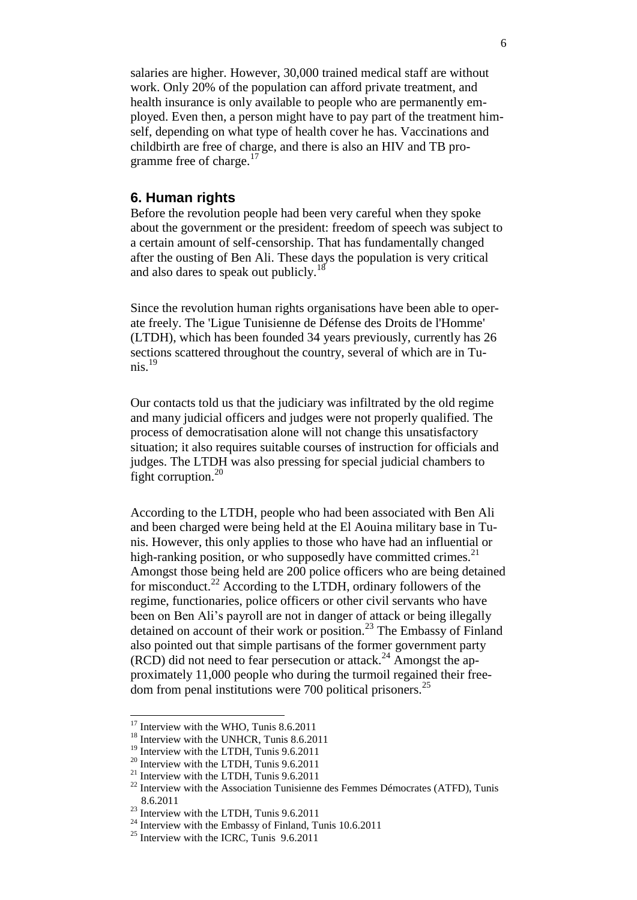salaries are higher. However, 30,000 trained medical staff are without work. Only 20% of the population can afford private treatment, and health insurance is only available to people who are permanently employed. Even then, a person might have to pay part of the treatment himself, depending on what type of health cover he has. Vaccinations and childbirth are free of charge, and there is also an HIV and TB programme free of charge. $17$ 

#### <span id="page-5-0"></span>**6. Human rights**

Before the revolution people had been very careful when they spoke about the government or the president: freedom of speech was subject to a certain amount of self-censorship. That has fundamentally changed after the ousting of Ben Ali. These days the population is very critical and also dares to speak out publicly.<sup>18</sup>

Since the revolution human rights organisations have been able to operate freely. The 'Ligue Tunisienne de Défense des Droits de l'Homme' (LTDH), which has been founded 34 years previously, currently has 26 sections scattered throughout the country, several of which are in Tunis $^{19}$ 

Our contacts told us that the judiciary was infiltrated by the old regime and many judicial officers and judges were not properly qualified. The process of democratisation alone will not change this unsatisfactory situation; it also requires suitable courses of instruction for officials and judges. The LTDH was also pressing for special judicial chambers to fight corruption. $20$ 

According to the LTDH, people who had been associated with Ben Ali and been charged were being held at the El Aouina military base in Tunis. However, this only applies to those who have had an influential or high-ranking position, or who supposedly have committed crimes.<sup>21</sup> Amongst those being held are 200 police officers who are being detained for misconduct.<sup>22</sup> According to the LTDH, ordinary followers of the regime, functionaries, police officers or other civil servants who have been on Ben Ali's payroll are not in danger of attack or being illegally detained on account of their work or position.<sup>23</sup> The Embassy of Finland also pointed out that simple partisans of the former government party  $(RCD)$  did not need to fear persecution or attack.<sup>24</sup> Amongst the approximately 11,000 people who during the turmoil regained their freedom from penal institutions were 700 political prisoners.<sup>25</sup>

-

<sup>&</sup>lt;sup>17</sup> Interview with the WHO, Tunis 8.6.2011

<sup>&</sup>lt;sup>18</sup> Interview with the UNHCR, Tunis 8.6.2011

<sup>&</sup>lt;sup>19</sup> Interview with the LTDH, Tunis 9.6.2011

 $20$  Interview with the LTDH, Tunis 9.6.2011

<sup>&</sup>lt;sup>21</sup> Interview with the LTDH, Tunis  $9.6.2011$ 

 $22$  Interview with the Association Tunisienne des Femmes Démocrates (ATFD), Tunis 8.6.2011

 $23$  Interview with the LTDH, Tunis 9.6.2011

<sup>&</sup>lt;sup>24</sup> Interview with the Embassy of Finland, Tunis  $10.6.2011$ 

 $25$  Interview with the ICRC, Tunis 9.6.2011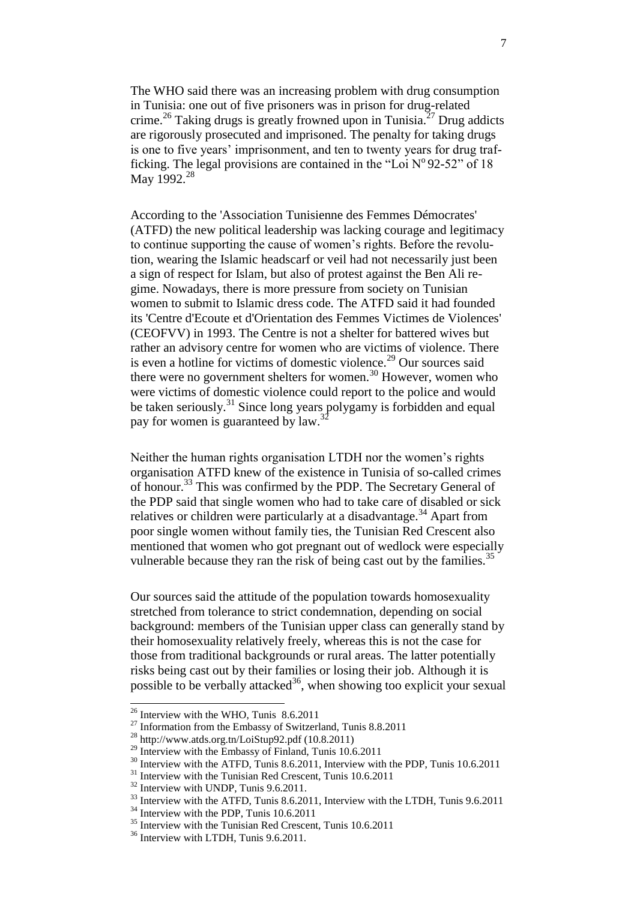The WHO said there was an increasing problem with drug consumption in Tunisia: one out of five prisoners was in prison for drug-related crime.<sup>26</sup> Taking drugs is greatly frowned upon in Tunisia.<sup>27</sup> Drug addicts are rigorously prosecuted and imprisoned. The penalty for taking drugs is one to five years' imprisonment, and ten to twenty years for drug trafficking. The legal provisions are contained in the "Loi  $N^{\circ}$ 92-52" of 18 May 1992.<sup>28</sup>

According to the 'Association Tunisienne des Femmes Démocrates' (ATFD) the new political leadership was lacking courage and legitimacy to continue supporting the cause of women's rights. Before the revolution, wearing the Islamic headscarf or veil had not necessarily just been a sign of respect for Islam, but also of protest against the Ben Ali regime. Nowadays, there is more pressure from society on Tunisian women to submit to Islamic dress code. The ATFD said it had founded its 'Centre d'Ecoute et d'Orientation des Femmes Victimes de Violences' (CEOFVV) in 1993. The Centre is not a shelter for battered wives but rather an advisory centre for women who are victims of violence. There is even a hotline for victims of domestic violence.<sup>29</sup> Our sources said there were no government shelters for women. $30$  However, women who were victims of domestic violence could report to the police and would be taken seriously.<sup>31</sup> Since long years polygamy is forbidden and equal pay for women is guaranteed by law.<sup>32</sup>

Neither the human rights organisation LTDH nor the women's rights organisation ATFD knew of the existence in Tunisia of so-called crimes of honour.<sup>33</sup> This was confirmed by the PDP. The Secretary General of the PDP said that single women who had to take care of disabled or sick relatives or children were particularly at a disadvantage.<sup>34</sup> Apart from poor single women without family ties, the Tunisian Red Crescent also mentioned that women who got pregnant out of wedlock were especially vulnerable because they ran the risk of being cast out by the families.<sup>35</sup>

Our sources said the attitude of the population towards homosexuality stretched from tolerance to strict condemnation, depending on social background: members of the Tunisian upper class can generally stand by their homosexuality relatively freely, whereas this is not the case for those from traditional backgrounds or rural areas. The latter potentially risks being cast out by their families or losing their job. Although it is possible to be verbally attacked<sup>36</sup>, when showing too explicit your sexual

-

 $26$  Interview with the WHO, Tunis 8.6.2011

 $27$  Information from the Embassy of Switzerland, Tunis 8.8.2011

<sup>28</sup> http://www.atds.org.tn/LoiStup92.pdf (10.8.2011)

<sup>&</sup>lt;sup>29</sup> Interview with the Embassy of Finland, Tunis  $10.6.2011$ 

<sup>&</sup>lt;sup>30</sup> Interview with the ATFD, Tunis 8.6.2011, Interview with the PDP, Tunis 10.6.2011

 $31$  Interview with the Tunisian Red Crescent, Tunis 10.6.2011

<sup>&</sup>lt;sup>32</sup> Interview with UNDP, Tunis 9.6.2011.

<sup>&</sup>lt;sup>33</sup> Interview with the ATFD, Tunis 8.6.2011, Interview with the LTDH, Tunis 9.6.2011

<sup>&</sup>lt;sup>34</sup> Interview with the PDP, Tunis 10.6.2011

<sup>&</sup>lt;sup>35</sup> Interview with the Tunisian Red Crescent, Tunis 10.6.2011

<sup>&</sup>lt;sup>36</sup> Interview with LTDH, Tunis 9.6.2011.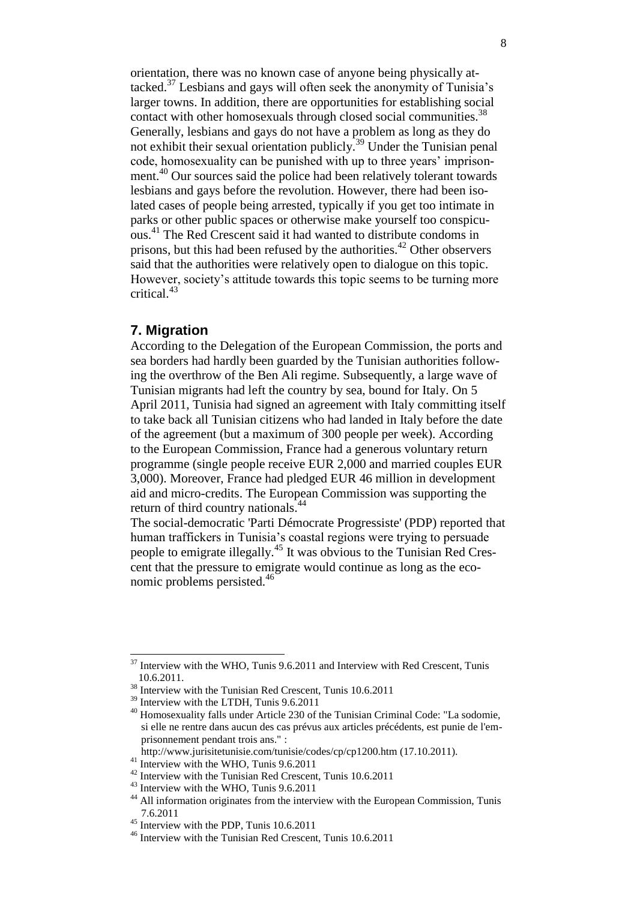orientation, there was no known case of anyone being physically attacked. $37$  Lesbians and gays will often seek the anonymity of Tunisia's larger towns. In addition, there are opportunities for establishing social contact with other homosexuals through closed social communities.<sup>38</sup> Generally, lesbians and gays do not have a problem as long as they do not exhibit their sexual orientation publicly.<sup>39</sup> Under the Tunisian penal code, homosexuality can be punished with up to three years' imprisonment.<sup>40</sup> Our sources said the police had been relatively tolerant towards lesbians and gays before the revolution. However, there had been isolated cases of people being arrested, typically if you get too intimate in parks or other public spaces or otherwise make yourself too conspicuous.<sup>41</sup> The Red Crescent said it had wanted to distribute condoms in prisons, but this had been refused by the authorities. $42$  Other observers said that the authorities were relatively open to dialogue on this topic. However, society's attitude towards this topic seems to be turning more critical.<sup>43</sup>

#### <span id="page-7-0"></span>**7. Migration**

<span id="page-7-1"></span>-

According to the Delegation of the European Commission, the ports and sea borders had hardly been guarded by the Tunisian authorities following the overthrow of the Ben Ali regime. Subsequently, a large wave of Tunisian migrants had left the country by sea, bound for Italy. On 5 April 2011, Tunisia had signed an agreement with Italy committing itself to take back all Tunisian citizens who had landed in Italy before the date of the agreement (but a maximum of 300 people per week). According to the European Commission, France had a generous voluntary return programme (single people receive EUR 2,000 and married couples EUR 3,000). Moreover, France had pledged EUR 46 million in development aid and micro-credits. The European Commission was supporting the return of third country nationals.<sup>44</sup>

The social-democratic 'Parti Démocrate Progressiste' (PDP) reported that human traffickers in Tunisia's coastal regions were trying to persuade people to emigrate illegally.<sup>45</sup> It was obvious to the Tunisian Red Crescent that the pressure to emigrate would continue as long as the economic problems persisted.<sup>46</sup>

 $37$  Interview with the WHO, Tunis 9.6.2011 and Interview with Red Crescent, Tunis 10.6.2011.

<sup>&</sup>lt;sup>38</sup> Interview with the Tunisian Red Crescent, Tunis 10.6.2011

<sup>&</sup>lt;sup>39</sup> Interview with the LTDH, Tunis 9.6.2011

<sup>40</sup> Homosexuality falls under Article 230 of the Tunisian Criminal Code: "La sodomie, si elle ne rentre dans aucun des cas prévus aux articles précédents, est punie de l'em prisonnement pendant trois ans." :

http://www.jurisitetunisie.com/tunisie/codes/cp/cp1200.htm (17.10.2011).

<sup>&</sup>lt;sup>41</sup> Interview with the WHO, Tunis 9.6.2011

<sup>42</sup> Interview with the Tunisian Red Crescent, Tunis 10.6.2011

<sup>&</sup>lt;sup>43</sup> Interview with the WHO, Tunis 9.6.2011

<sup>&</sup>lt;sup>44</sup> All information originates from the interview with the European Commission, Tunis 7.6.2011

<sup>&</sup>lt;sup>45</sup> Interview with the PDP, Tunis 10.6.2011

<sup>46</sup> Interview with the Tunisian Red Crescent, Tunis 10.6.2011